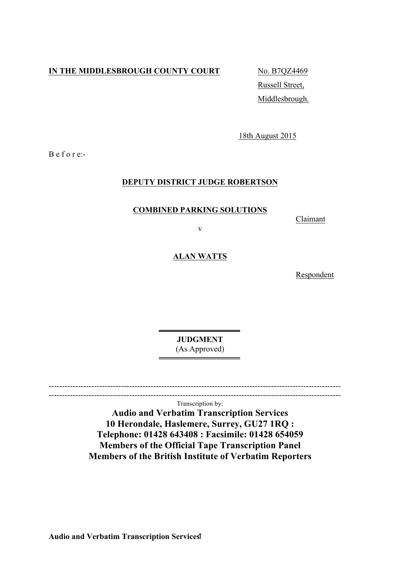# **IN THE MIDDLESBROUGH COUNTY COURT** No. B7QZ4469

Russell Street, Middlesbrough.

18th August 2015

B e f o r e:-

## **DEPUTY DISTRICT JUDGE ROBERTSON**

### **COMBINED PARKING SOLUTIONS**

Claimant

v

### **ALAN WATTS**

Respondent

**JUDGMENT** (As Approved)

-------------------------------------------------------------------------------------------------------------  $-$ 

Transcription by:

**Audio and Verbatim Transcription Services 10 Herondale, Haslemere, Surrey, GU27 1RQ : Telephone: 01428 643408 : Facsimile: 01428 654059 Members of the Official Tape Transcription Panel Members of the British Institute of Verbatim Reporters**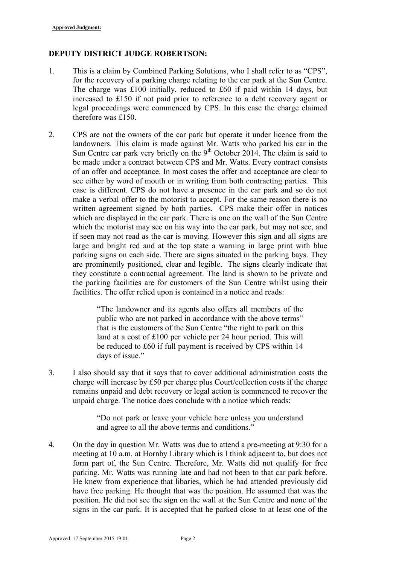### **DEPUTY DISTRICT JUDGE ROBERTSON:**

- 1. This is a claim by Combined Parking Solutions, who I shall refer to as "CPS", for the recovery of a parking charge relating to the car park at the Sun Centre. The charge was £100 initially, reduced to £60 if paid within 14 days, but increased to £150 if not paid prior to reference to a debt recovery agent or legal proceedings were commenced by CPS. In this case the charge claimed therefore was £150.
- 2. CPS are not the owners of the car park but operate it under licence from the landowners. This claim is made against Mr. Watts who parked his car in the Sun Centre car park very briefly on the  $9<sup>th</sup>$  October 2014. The claim is said to be made under a contract between CPS and Mr. Watts. Every contract consists of an offer and acceptance. In most cases the offer and acceptance are clear to see either by word of mouth or in writing from both contracting parties. This case is different. CPS do not have a presence in the car park and so do not make a verbal offer to the motorist to accept. For the same reason there is no written agreement signed by both parties. CPS make their offer in notices which are displayed in the car park. There is one on the wall of the Sun Centre which the motorist may see on his way into the car park, but may not see, and if seen may not read as the car is moving. However this sign and all signs are large and bright red and at the top state a warning in large print with blue parking signs on each side. There are signs situated in the parking bays. They are prominently positioned, clear and legible. The signs clearly indicate that they constitute a contractual agreement. The land is shown to be private and the parking facilities are for customers of the Sun Centre whilst using their facilities. The offer relied upon is contained in a notice and reads:

"The landowner and its agents also offers all members of the public who are not parked in accordance with the above terms" that is the customers of the Sun Centre "the right to park on this land at a cost of £100 per vehicle per 24 hour period. This will be reduced to £60 if full payment is received by CPS within 14 days of issue."

3. I also should say that it says that to cover additional administration costs the charge will increase by £50 per charge plus Court/collection costs if the charge remains unpaid and debt recovery or legal action is commenced to recover the unpaid charge. The notice does conclude with a notice which reads:

> "Do not park or leave your vehicle here unless you understand and agree to all the above terms and conditions."

4. On the day in question Mr. Watts was due to attend a pre-meeting at 9:30 for a meeting at 10 a.m. at Hornby Library which is I think adjacent to, but does not form part of, the Sun Centre. Therefore, Mr. Watts did not qualify for free parking. Mr. Watts was running late and had not been to that car park before. He knew from experience that libaries, which he had attended previously did have free parking. He thought that was the position. He assumed that was the position. He did not see the sign on the wall at the Sun Centre and none of the signs in the car park. It is accepted that he parked close to at least one of the